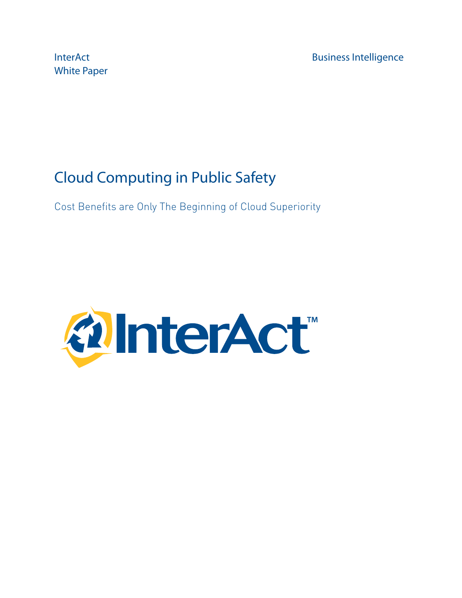White Paper

InterAct **Business Intelligence** 

# Cloud Computing in Public Safety

Cost Benefits are Only The Beginning of Cloud Superiority

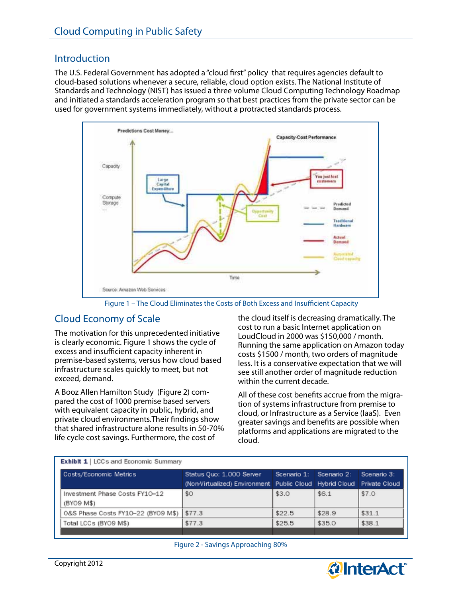#### **Introduction**

The U.S. Federal Government has adopted a "cloud first" policy that requires agencies default to cloud-based solutions whenever a secure, reliable, cloud option exists. The National Institute of Standards and Technology (NIST) has issued a three volume Cloud Computing Technology Roadmap and initiated a standards acceleration program so that best practices from the private sector can be used for government systems immediately, without a protracted standards process.



Figure 1 - The Cloud Eliminates the Costs of Both Excess and Insufficient Capacity

#### Cloud Economy of Scale

The motivation for this unprecedented initiative is clearly economic. Figure 1 shows the cycle of excess and insufficient capacity inherent in premise-based systems, versus how cloud based infrastructure scales quickly to meet, but not exceed, demand.

A Booz Allen Hamilton Study (Figure 2) compared the cost of 1000 premise based servers with equivalent capacity in public, hybrid, and private cloud environments. Their findings show that shared infrastructure alone results in 50-70% life cycle cost savings. Furthermore, the cost of

the cloud itself is decreasing dramatically. The cost to run a basic Internet application on LoudCloud in 2000 was \$150,000 / month. Running the same application on Amazon today costs \$1500 / month, two orders of magnitude less. It is a conservative expectation that we will see still another order of magnitude reduction within the current decade.

All of these cost benefits accrue from the migration of systems infrastructure from premise to cloud, or Infrastructure as a Service (IaaS). Even greater savings and benefits are possible when platforms and applications are migrated to the cloud.

| <b>Exhibit 1   LCCs and Economic Summary</b> |                                                                                         |                         |        |                                     |
|----------------------------------------------|-----------------------------------------------------------------------------------------|-------------------------|--------|-------------------------------------|
| Costs/Economic Metrics                       | Status Quo: 1,000 Server<br>(Non-Virtualized) Environment   Public Cloud   Hybrid Cloud | Scenario 1: Scenario 2: |        | Scenario 3:<br><b>Private Cloud</b> |
| Investment Phase Costs FY10-12<br>(BYO9 M\$) | \$0                                                                                     | \$3.0                   | \$6.1  | \$7.0                               |
| 0&S Phase Costs FY10-22 (BY09 M\$)           | \$77.3                                                                                  | \$22.5                  | \$28.9 | \$31.1                              |
| Total LCCs (BYO9 M\$)                        | \$77.3                                                                                  | \$25.5                  | \$35.0 | \$38.1                              |



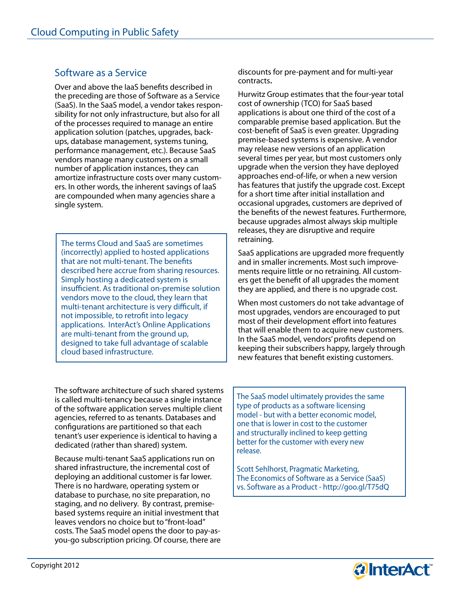#### Software as a Service

Over and above the IaaS benefits described in the preceding are those of Software as a Service (SaaS). In the SaaS model, a vendor takes responsibility for not only infrastructure, but also for all of the processes required to manage an entire application solution (patches, upgrades, backups, database management, systems tuning, performance management, etc.). Because SaaS vendors manage many customers on a small number of application instances, they can amortize infrastructure costs over many customers. In other words, the inherent savings of IaaS are compounded when many agencies share a single system.

The terms Cloud and SaaS are sometimes (incorrectly) applied to hosted applications that are not multi-tenant. The benefits described here accrue from sharing resources. Simply hosting a dedicated system is insufficient. As traditional on-premise solution vendors move to the cloud, they learn that multi-tenant architecture is very difficult, if not impossible, to retrofit into legacy applications. InterAct's Online Applications are multi-tenant from the ground up, designed to take full advantage of scalable cloud based infrastructure.

discounts for pre-payment and for multi-year contracts.

Hurwitz Group estimates that the four-year total cost of ownership (TCO) for SaaS based applications is about one third of the cost of a comparable premise based application. But the cost-benefit of SaaS is even greater. Upgrading premise-based systems is expensive. A vendor may release new versions of an application several times per year, but most customers only upgrade when the version they have deployed approaches end-of-life, or when a new version has features that justify the upgrade cost. Except for a short time after initial installation and occasional upgrades, customers are deprived of the benefits of the newest features. Furthermore, because upgrades almost always skip multiple releases, they are disruptive and require retraining.

SaaS applications are upgraded more frequently and in smaller increments. Most such improvements require little or no retraining. All customers get the benefit of all upgrades the moment they are applied, and there is no upgrade cost.

When most customers do not take advantage of most upgrades, vendors are encouraged to put most of their development effort into features that will enable them to acquire new customers. In the SaaS model, vendors' profits depend on keeping their subscribers happy, largely through new features that benefit existing customers.

The software architecture of such shared systems is called multi-tenancy because a single instance of the software application serves multiple client agencies, referred to as tenants. Databases and configurations are partitioned so that each tenant's user experience is identical to having a dedicated (rather than shared) system.

Because multi-tenant SaaS applications run on shared infrastructure, the incremental cost of deploying an additional customer is far lower. There is no hardware, operating system or database to purchase, no site preparation, no staging, and no delivery. By contrast, premisebased systems require an initial investment that leaves vendors no choice but to "front-load" costs. The SaaS model opens the door to pay-asyou-go subscription pricing. Of course, there are The SaaS model ultimately provides the same type of products as a software licensing model - but with a better economic model, one that is lower in cost to the customer and structurally inclined to keep getting better for the customer with every new release.

Scott Sehlhorst, Pragmatic Marketing, The Economics of Software as a Service (SaaS) vs. Software as a Product - http://goo.gl/T75dQ

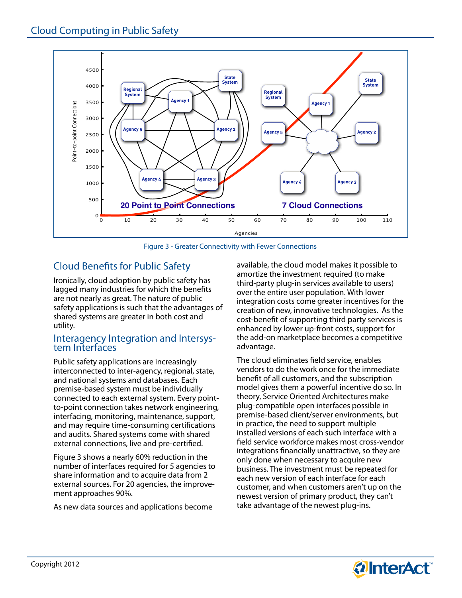

Figure 3 - Greater Connectivity with Fewer Connections

### **Cloud Benefits for Public Safety**

Ironically, cloud adoption by public safety has lagged many industries for which the benefits are not nearly as great. The nature of public safety applications is such that the advantages of shared systems are greater in both cost and utility.

# Interagency Integration and Intersys- tem Interfaces

Public safety applications are increasingly interconnected to inter-agency, regional, state, and national systems and databases. Each premise-based system must be individually connected to each external system. Every pointto-point connection takes network engineering, interfacing, monitoring, maintenance, support, and may require time-consuming certifications and audits. Shared systems come with shared external connections, live and pre-certified.

Figure 3 shows a nearly 60% reduction in the number of interfaces required for 5 agencies to share information and to acquire data from 2 external sources. For 20 agencies, the improvement approaches 90%.

As new data sources and applications become

available, the cloud model makes it possible to amortize the investment required (to make third-party plug-in services available to users) over the entire user population. With lower integration costs come greater incentives for the creation of new, innovative technologies. As the cost-benefit of supporting third party services is enhanced by lower up-front costs, support for the add-on marketplace becomes a competitive advantage.

The cloud eliminates field service, enables vendors to do the work once for the immediate benefit of all customers, and the subscription model gives them a powerful incentive do so. In theory, Service Oriented Architectures make plug-compatible open interfaces possible in premise-based client/server environments, but in practice, the need to support multiple installed versions of each such interface with a field service workforce makes most cross-vendor integrations financially unattractive, so they are only done when necessary to acquire new business. The investment must be repeated for each new version of each interface for each customer, and when customers aren't up on the newest version of primary product, they can't take advantage of the newest plug-ins.

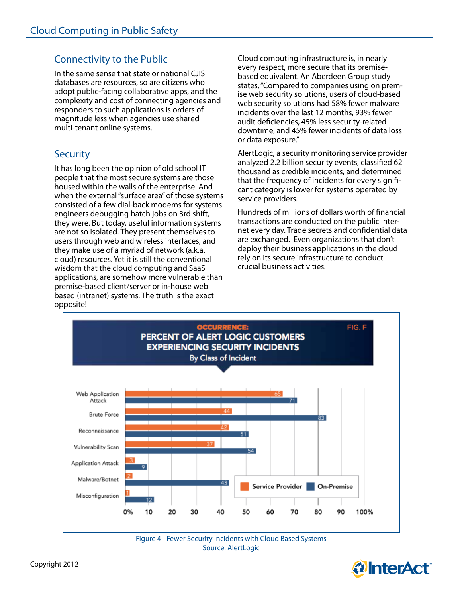## Connectivity to the Public

In the same sense that state or national CJIS databases are resources, so are citizens who adopt public-facing collaborative apps, and the complexity and cost of connecting agencies and responders to such applications is orders of magnitude less when agencies use shared multi-tenant online systems.

#### **Security**

It has long been the opinion of old school IT people that the most secure systems are those housed within the walls of the enterprise. And when the external "surface area" of those systems consisted of a few dial-back modems for systems engineers debugging batch jobs on 3rd shift, they were. But today, useful information systems are not so isolated. They present themselves to users through web and wireless interfaces, and they make use of a myriad of network (a.k.a. cloud) resources. Yet it is still the conventional wisdom that the cloud computing and SaaS applications, are somehow more vulnerable than premise-based client/server or in-house web based (intranet) systems. The truth is the exact opposite!

Cloud computing infrastructure is, in nearly every respect, more secure that its premisebased equivalent. An Aberdeen Group study states, "Compared to companies using on premise web security solutions, users of cloud-based web security solutions had 58% fewer malware incidents over the last 12 months, 93% fewer audit deficiencies, 45% less security-related downtime, and 45% fewer incidents of data loss or data exposure."

AlertLogic, a security monitoring service provider analyzed 2.2 billion security events, classified 62 thousand as credible incidents, and determined that the frequency of incidents for every significant category is lower for systems operated by service providers.

Hundreds of millions of dollars worth of financial transactions are conducted on the public Internet every day. Trade secrets and confidential data are exchanged. Even organizations that don't deploy their business applications in the cloud rely on its secure infrastructure to conduct crucial business activities.



Source: AlertLogic

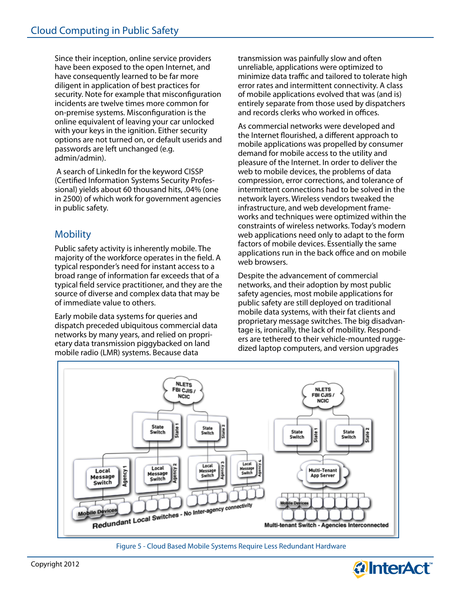Since their inception, online service providers have been exposed to the open Internet, and have consequently learned to be far more diligent in application of best practices for security. Note for example that misconfiguration incidents are twelve times more common for on-premise systems. Misconfiguration is the online equivalent of leaving your car unlocked with your keys in the ignition. Either security options are not turned on, or default userids and passwords are left unchanged (e.g. admin/admin).

 A search of LinkedIn for the keyword CISSP (Certified Information Systems Security Professional) yields about 60 thousand hits, .04% (one in 2500) of which work for government agencies in public safety.

### **Mobility**

Public safety activity is inherently mobile. The majority of the workforce operates in the field. A typical responder's need for instant access to a broad range of information far exceeds that of a typical field service practitioner, and they are the source of diverse and complex data that may be of immediate value to others.

Early mobile data systems for queries and dispatch preceded ubiquitous commercial data networks by many years, and relied on proprietary data transmission piggybacked on land mobile radio (LMR) systems. Because data

transmission was painfully slow and often unreliable, applications were optimized to minimize data traffic and tailored to tolerate high error rates and intermittent connectivity. A class of mobile applications evolved that was (and is) entirely separate from those used by dispatchers and records clerks who worked in offices.

As commercial networks were developed and the Internet flourished, a different approach to mobile applications was propelled by consumer demand for mobile access to the utility and pleasure of the Internet. In order to deliver the web to mobile devices, the problems of data compression, error corrections, and tolerance of intermittent connections had to be solved in the network layers. Wireless vendors tweaked the infrastructure, and web development frameworks and techniques were optimized within the constraints of wireless networks. Today's modern web applications need only to adapt to the form factors of mobile devices. Essentially the same applications run in the back office and on mobile web browsers.

Despite the advancement of commercial networks, and their adoption by most public safety agencies, most mobile applications for public safety are still deployed on traditional mobile data systems, with their fat clients and proprietary message switches. The big disadvantage is, ironically, the lack of mobility. Responders are tethered to their vehicle-mounted ruggedized laptop computers, and version upgrades



Figure 5 - Cloud Based Mobile Systems Require Less Redundant Hardware

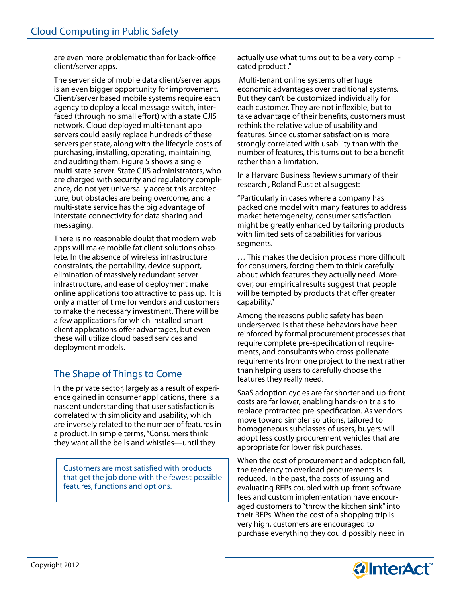are even more problematic than for back-office client/server apps.

The server side of mobile data client/server apps is an even bigger opportunity for improvement. Client/server based mobile systems require each agency to deploy a local message switch, interfaced (through no small effort) with a state CJIS network. Cloud deployed multi-tenant app servers could easily replace hundreds of these servers per state, along with the lifecycle costs of purchasing, installing, operating, maintaining, and auditing them. Figure 5 shows a single multi-state server. State CJIS administrators, who are charged with security and regulatory compliance, do not yet universally accept this architecture, but obstacles are being overcome, and a multi-state service has the big advantage of interstate connectivity for data sharing and messaging.

There is no reasonable doubt that modern web apps will make mobile fat client solutions obsolete. In the absence of wireless infrastructure constraints, the portability, device support, elimination of massively redundant server infrastructure, and ease of deployment make online applications too attractive to pass up. It is only a matter of time for vendors and customers to make the necessary investment. There will be a few applications for which installed smart client applications offer advantages, but even these will utilize cloud based services and deployment models.

# The Shape of Things to Come

In the private sector, largely as a result of experience gained in consumer applications, there is a nascent understanding that user satisfaction is correlated with simplicity and usability, which are inversely related to the number of features in a product. In simple terms, "Consumers think they want all the bells and whistles—until they

Customers are most satisfied with products that get the job done with the fewest possible features, functions and options.

actually use what turns out to be a very complicated product ."

Multi-tenant online systems offer huge economic advantages over traditional systems. But they can't be customized individually for each customer. They are not inflexible, but to take advantage of their benefits, customers must rethink the relative value of usability and features. Since customer satisfaction is more strongly correlated with usability than with the number of features, this turns out to be a benefit rather than a limitation.

In a Harvard Business Review summary of their research , Roland Rust et al suggest:

"Particularly in cases where a company has packed one model with many features to address market heterogeneity, consumer satisfaction might be greatly enhanced by tailoring products with limited sets of capabilities for various segments.

... This makes the decision process more difficult for consumers, forcing them to think carefully about which features they actually need. Moreover, our empirical results suggest that people will be tempted by products that offer greater capability."

Among the reasons public safety has been underserved is that these behaviors have been reinforced by formal procurement processes that require complete pre-specification of requirements, and consultants who cross-pollenate requirements from one project to the next rather than helping users to carefully choose the features they really need.

SaaS adoption cycles are far shorter and up-front costs are far lower, enabling hands-on trials to replace protracted pre-specification. As vendors move toward simpler solutions, tailored to homogeneous subclasses of users, buyers will adopt less costly procurement vehicles that are appropriate for lower risk purchases.

When the cost of procurement and adoption fall, the tendency to overload procurements is reduced. In the past, the costs of issuing and evaluating RFPs coupled with up-front software fees and custom implementation have encouraged customers to "throw the kitchen sink" into their RFPs. When the cost of a shopping trip is very high, customers are encouraged to purchase everything they could possibly need in

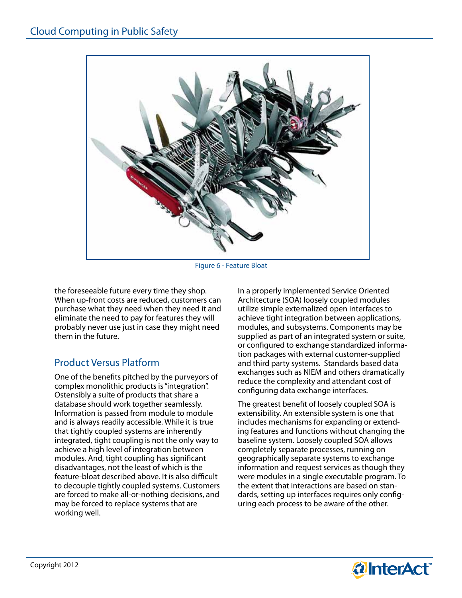

Figure 6 - Feature Bloat

the foreseeable future every time they shop. When up-front costs are reduced, customers can purchase what they need when they need it and eliminate the need to pay for features they will probably never use just in case they might need them in the future.

#### Product Versus Platform

One of the benefits pitched by the purveyors of complex monolithic products is "integration". Ostensibly a suite of products that share a database should work together seamlessly. Information is passed from module to module and is always readily accessible. While it is true that tightly coupled systems are inherently integrated, tight coupling is not the only way to achieve a high level of integration between modules. And, tight coupling has significant disadvantages, not the least of which is the feature-bloat described above. It is also difficult to decouple tightly coupled systems. Customers are forced to make all-or-nothing decisions, and may be forced to replace systems that are working well.

In a properly implemented Service Oriented Architecture (SOA) loosely coupled modules utilize simple externalized open interfaces to achieve tight integration between applications, modules, and subsystems. Components may be supplied as part of an integrated system or suite, or configured to exchange standardized information packages with external customer-supplied and third party systems. Standards based data exchanges such as NIEM and others dramatically reduce the complexity and attendant cost of configuring data exchange interfaces.

The greatest benefit of loosely coupled SOA is extensibility. An extensible system is one that includes mechanisms for expanding or extending features and functions without changing the baseline system. Loosely coupled SOA allows completely separate processes, running on geographically separate systems to exchange information and request services as though they were modules in a single executable program. To the extent that interactions are based on standards, setting up interfaces requires only configuring each process to be aware of the other.